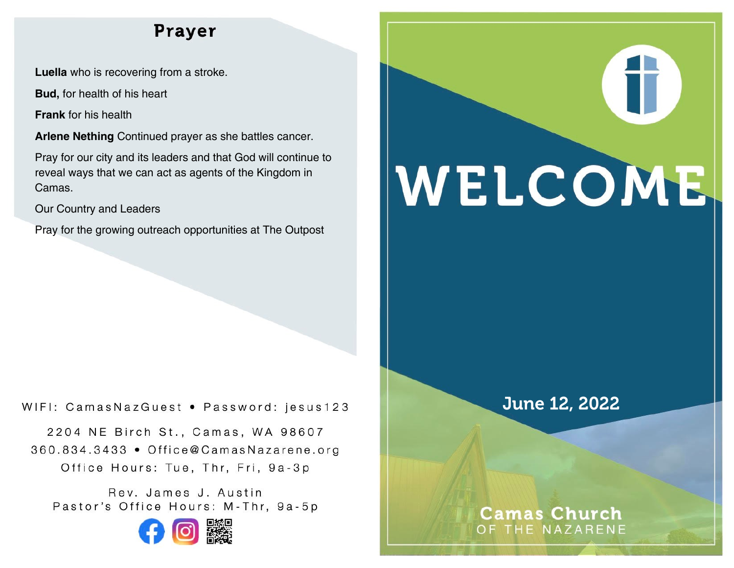# Prayer

**Luella** who is recovering from a stroke.

**Bud,** for health of his heart

**Frank** for his health

**Arlene Nething** Continued prayer as she battles cancer.

Pray for our city and its leaders and that God will continue to reveal ways that we can act as agents of the Kingdom in Camas.

Our Country and Leaders

Pray for the growing outreach opportunities at The Outpost

#### WIFI: CamasNazGuest · Password: jesus123

2204 NE Birch St., Camas, WA 98607 360.834.3433 • Office@CamasNazarene.org Office Hours: Tue, Thr, Fri, 9a-3p

Rev. James J. Austin Pastor's Office Hours: M-Thr, 9a-5p



# T WELCOME

# June 12, 2022

## **Camas Church** OF THE NAZARENE